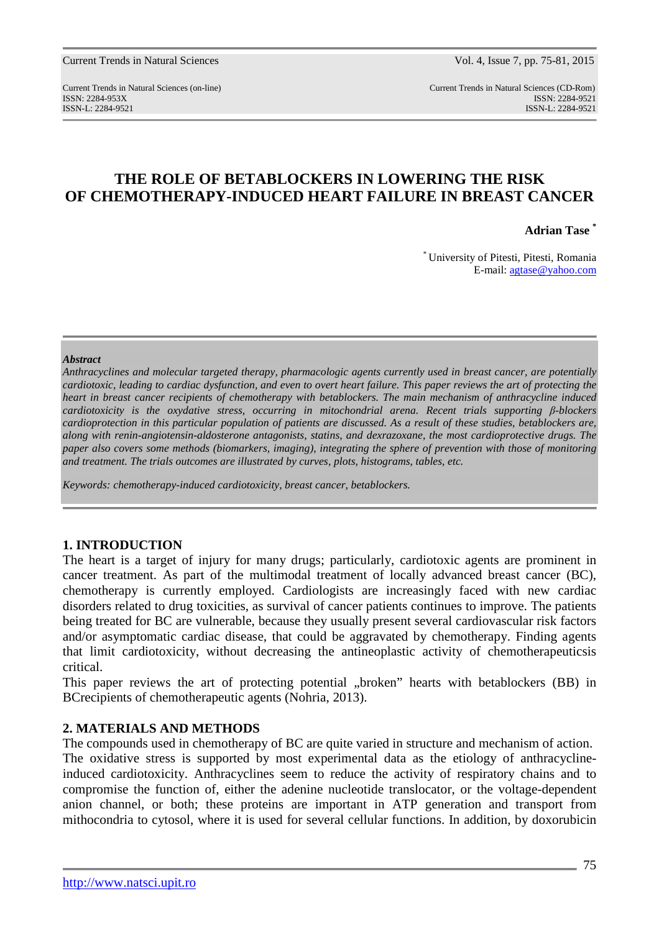Current Trends in Natural Sciences (on-line) Current Trends in Natural Sciences (CD-Rom) ISSN: 2284-953XISSN: 2284-9521 ISSN-L: 2284-9521 ISSN-L: 2284-9521

# **THE ROLE OF BETABLOCKERS IN LOWERING THE RISK OF CHEMOTHERAPY-INDUCED HEART FAILURE IN BREAST CANCER**

**Adrian Tase \*** 

\* University of Pitesti, Pitesti, Romania E-mail: agtase@yahoo.com

### *Abstract*

*Anthracyclines and molecular targeted therapy, pharmacologic agents currently used in breast cancer, are potentially cardiotoxic, leading to cardiac dysfunction, and even to overt heart failure. This paper reviews the art of protecting the heart in breast cancer recipients of chemotherapy with betablockers. The main mechanism of anthracycline induced cardiotoxicity is the oxydative stress, occurring in mitochondrial arena. Recent trials supporting β-blockers cardioprotection in this particular population of patients are discussed. As a result of these studies, betablockers are, along with renin-angiotensin-aldosterone antagonists, statins, and dexrazoxane, the most cardioprotective drugs. The paper also covers some methods (biomarkers, imaging), integrating the sphere of prevention with those of monitoring and treatment. The trials outcomes are illustrated by curves, plots, histograms, tables, etc.* 

*Keywords: chemotherapy-induced cardiotoxicity, breast cancer, betablockers.* 

## **1. INTRODUCTION**

The heart is a target of injury for many drugs; particularly, cardiotoxic agents are prominent in cancer treatment. As part of the multimodal treatment of locally advanced breast cancer (BC), chemotherapy is currently employed. Cardiologists are increasingly faced with new cardiac disorders related to drug toxicities, as survival of cancer patients continues to improve. The patients being treated for BC are vulnerable, because they usually present several cardiovascular risk factors and/or asymptomatic cardiac disease, that could be aggravated by chemotherapy. Finding agents that limit cardiotoxicity, without decreasing the antineoplastic activity of chemotherapeuticsis critical.

This paper reviews the art of protecting potential "broken" hearts with betablockers (BB) in BCrecipients of chemotherapeutic agents (Nohria, 2013).

## **2. MATERIALS AND METHODS**

The compounds used in chemotherapy of BC are quite varied in structure and mechanism of action. The oxidative stress is supported by most experimental data as the etiology of anthracyclineinduced cardiotoxicity. Anthracyclines seem to reduce the activity of respiratory chains and to compromise the function of, either the adenine nucleotide translocator, or the voltage-dependent anion channel, or both; these proteins are important in ATP generation and transport from mithocondria to cytosol, where it is used for several cellular functions. In addition, by doxorubicin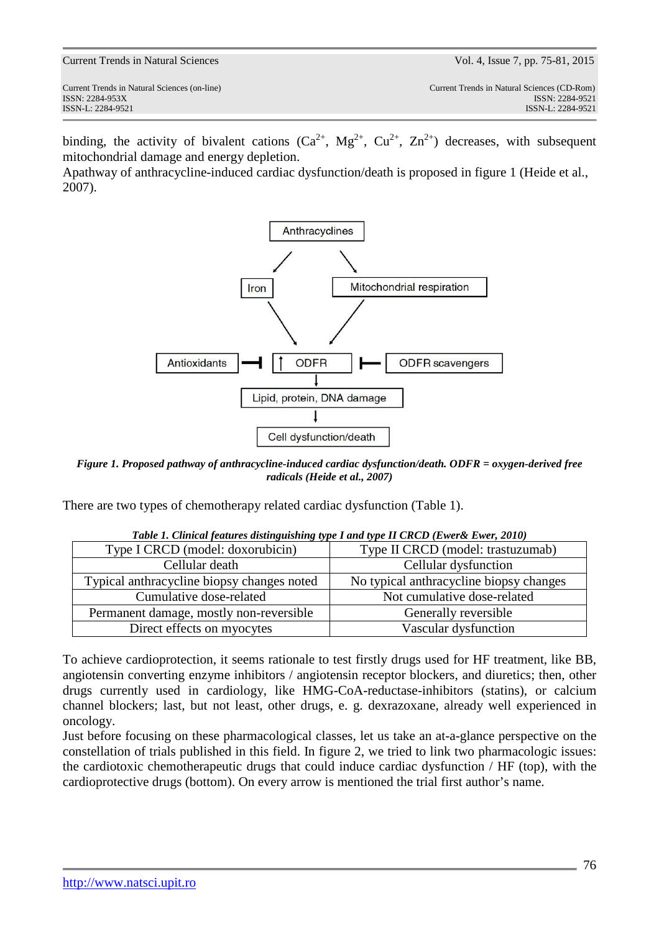binding, the activity of bivalent cations  $(Ca^{2+}, Mg^{2+}, Cu^{2+}, Zn^{2+})$  decreases, with subsequent mitochondrial damage and energy depletion.

Apathway of anthracycline-induced cardiac dysfunction/death is proposed in figure 1 (Heide et al., 2007).



*Figure 1. Proposed pathway of anthracycline-induced cardiac dysfunction/death. ODFR = oxygen-derived free radicals (Heide et al., 2007)* 

There are two types of chemotherapy related cardiac dysfunction (Table 1).

| Table 1. Cunical features alsunguishing type 1 and type 11 CRCD (Ewerst Ewer, 2010) |                                         |
|-------------------------------------------------------------------------------------|-----------------------------------------|
| Type I CRCD (model: doxorubicin)                                                    | Type II CRCD (model: trastuzumab)       |
| Cellular death                                                                      | Cellular dysfunction                    |
| Typical anthracycline biopsy changes noted                                          | No typical anthracycline biopsy changes |
| Cumulative dose-related                                                             | Not cumulative dose-related             |
| Permanent damage, mostly non-reversible                                             | Generally reversible                    |
| Direct effects on myocytes                                                          | Vascular dysfunction                    |

*Table 1. Clinical features distinguishing type I and type II CRCD (Ewer& Ewer, 2010)* 

To achieve cardioprotection, it seems rationale to test firstly drugs used for HF treatment, like BB, angiotensin converting enzyme inhibitors / angiotensin receptor blockers, and diuretics; then, other drugs currently used in cardiology, like HMG-CoA-reductase-inhibitors (statins), or calcium channel blockers; last, but not least, other drugs, e. g. dexrazoxane, already well experienced in oncology.

Just before focusing on these pharmacological classes, let us take an at-a-glance perspective on the constellation of trials published in this field. In figure 2, we tried to link two pharmacologic issues: the cardiotoxic chemotherapeutic drugs that could induce cardiac dysfunction / HF (top), with the cardioprotective drugs (bottom). On every arrow is mentioned the trial first author's name.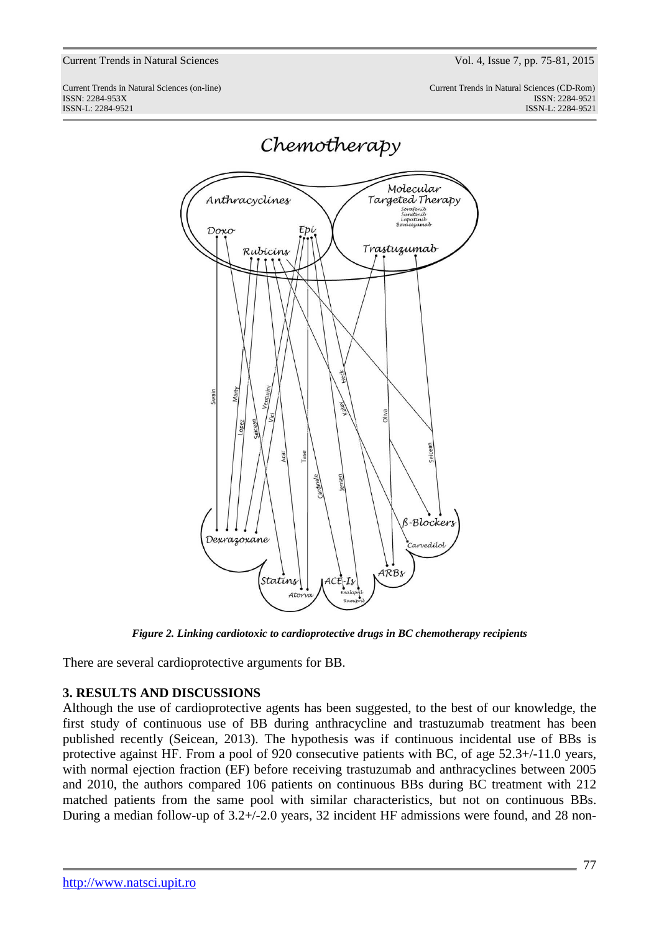Current Trends in Natural Sciences (on-line) Current Trends in Natural Sciences (CD-Rom) ISSN: 2284-953XISSN: 2284-9521 ISSN-L: 2284-9521 ISSN-L: 2284-9521



Chemotherapy

*Figure 2. Linking cardiotoxic to cardioprotective drugs in BC chemotherapy recipients* 

There are several cardioprotective arguments for BB.

## **3. RESULTS AND DISCUSSIONS**

Although the use of cardioprotective agents has been suggested, to the best of our knowledge, the first study of continuous use of BB during anthracycline and trastuzumab treatment has been published recently (Seicean, 2013). The hypothesis was if continuous incidental use of BBs is protective against HF. From a pool of 920 consecutive patients with BC, of age 52.3+/-11.0 years, with normal ejection fraction (EF) before receiving trastuzumab and anthracyclines between 2005 and 2010, the authors compared 106 patients on continuous BBs during BC treatment with 212 matched patients from the same pool with similar characteristics, but not on continuous BBs. During a median follow-up of 3.2+/-2.0 years, 32 incident HF admissions were found, and 28 non-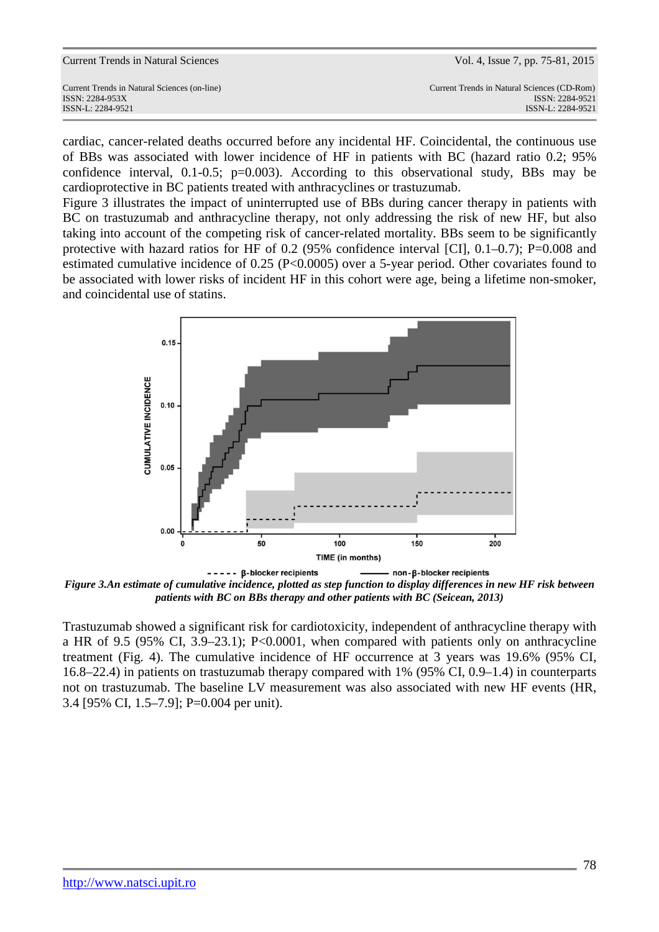| Current Trends in Natural Sciences           | Vol. 4, Issue 7, pp. 75-81, 2015            |
|----------------------------------------------|---------------------------------------------|
| Current Trends in Natural Sciences (on-line) | Current Trends in Natural Sciences (CD-Rom) |
| ISSN: 2284-953X                              | ISSN: 2284-9521                             |
| ISSN-L: 2284-9521                            | ISSN-L: 2284-9521                           |

cardiac, cancer-related deaths occurred before any incidental HF. Coincidental, the continuous use of BBs was associated with lower incidence of HF in patients with BC (hazard ratio 0.2; 95% confidence interval, 0.1-0.5; p=0.003). According to this observational study, BBs may be cardioprotective in BC patients treated with anthracyclines or trastuzumab.

Figure 3 illustrates the impact of uninterrupted use of BBs during cancer therapy in patients with BC on trastuzumab and anthracycline therapy, not only addressing the risk of new HF, but also taking into account of the competing risk of cancer-related mortality. BBs seem to be significantly protective with hazard ratios for HF of 0.2 (95% confidence interval [CI], 0.1–0.7); P=0.008 and estimated cumulative incidence of 0.25 (P<0.0005) over a 5-year period. Other covariates found to be associated with lower risks of incident HF in this cohort were age, being a lifetime non-smoker, and coincidental use of statins.



*Figure 3.An estimate of cumulative incidence, plotted as step function to display differences in new HF risk between patients with BC on BBs therapy and other patients with BC (Seicean, 2013)* 

Trastuzumab showed a significant risk for cardiotoxicity, independent of anthracycline therapy with a HR of 9.5 (95% CI, 3.9–23.1); P<0.0001, when compared with patients only on anthracycline treatment (Fig. 4). The cumulative incidence of HF occurrence at 3 years was 19.6% (95% CI, 16.8–22.4) in patients on trastuzumab therapy compared with 1% (95% CI, 0.9–1.4) in counterparts not on trastuzumab. The baseline LV measurement was also associated with new HF events (HR, 3.4 [95% CI, 1.5–7.9]; P=0.004 per unit).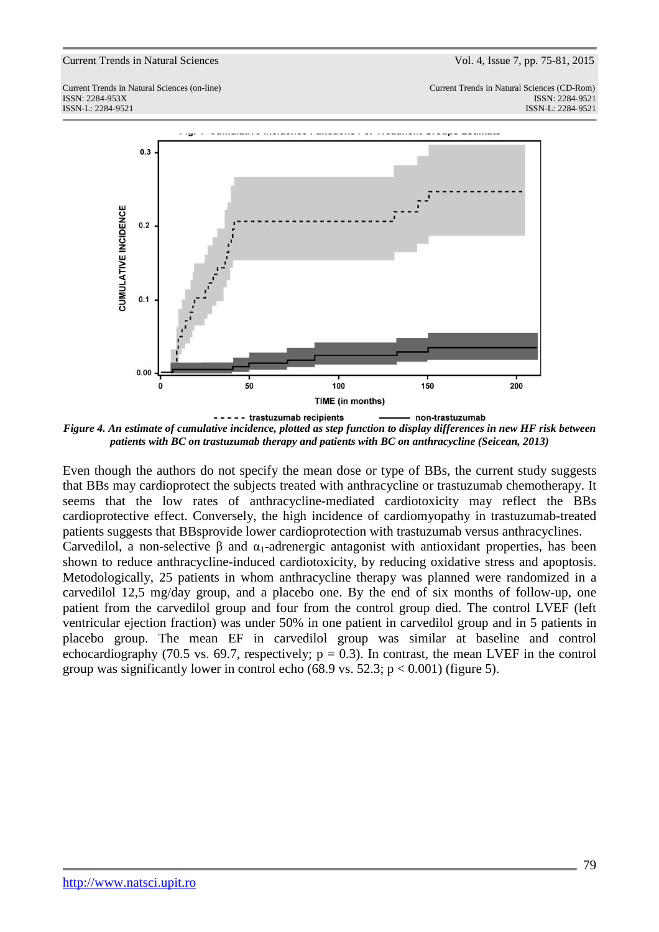Current Trends in Natural Sciences (on-line) Current Trends in Natural Sciences (CD-Rom) ISSN: 2284-953XISSN: 2284-9521 ISSN-L: 2284-9521 ISSN-L: 2284-9521



*Figure 4. An estimate of cumulative incidence, plotted as step function to display differences in new HF risk between patients with BC on trastuzumab therapy and patients with BC on anthracycline (Seicean, 2013)* 

Even though the authors do not specify the mean dose or type of BBs, the current study suggests that BBs may cardioprotect the subjects treated with anthracycline or trastuzumab chemotherapy. It seems that the low rates of anthracycline-mediated cardiotoxicity may reflect the BBs cardioprotective effect. Conversely, the high incidence of cardiomyopathy in trastuzumab-treated patients suggests that BBsprovide lower cardioprotection with trastuzumab versus anthracyclines. Carvedilol, a non-selective  $\beta$  and  $\alpha_1$ -adrenergic antagonist with antioxidant properties, has been shown to reduce anthracycline-induced cardiotoxicity, by reducing oxidative stress and apoptosis. Metodologically, 25 patients in whom anthracycline therapy was planned were randomized in a carvedilol 12,5 mg/day group, and a placebo one. By the end of six months of follow-up, one patient from the carvedilol group and four from the control group died. The control LVEF (left ventricular ejection fraction) was under 50% in one patient in carvedilol group and in 5 patients in placebo group. The mean EF in carvedilol group was similar at baseline and control echocardiography (70.5 vs. 69.7, respectively;  $p = 0.3$ ). In contrast, the mean LVEF in the control group was significantly lower in control echo (68.9 vs. 52.3;  $p < 0.001$ ) (figure 5).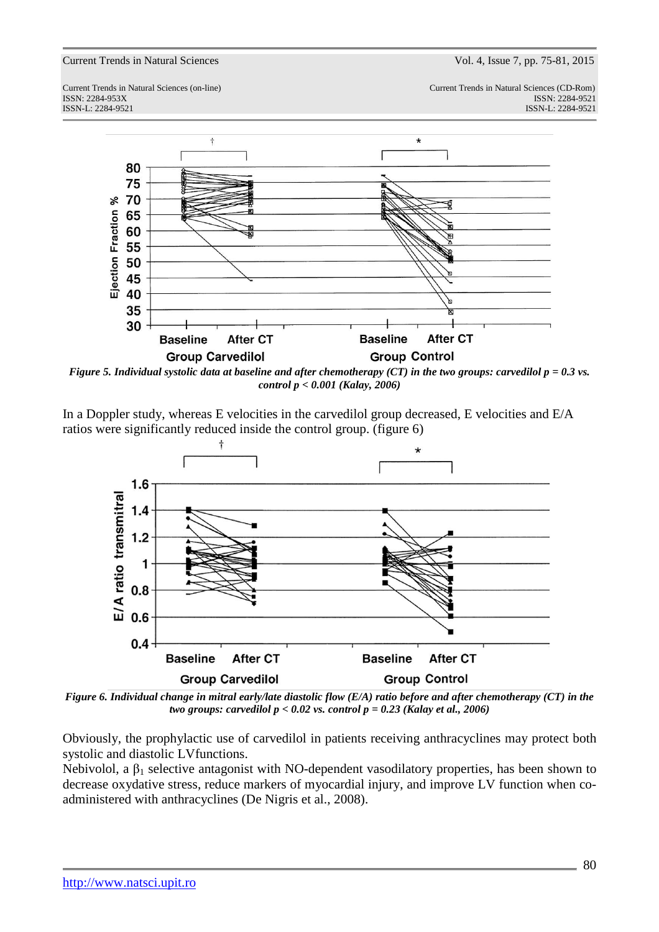Current Trends in Natural Sciences (on-line) Current Trends in Natural Sciences (CD-Rom) ISSN: 2284-953XISSN: 2284-9521 ISSN-L: 2284-9521 ISSN-L: 2284-9521



*Figure 5. Individual systolic data at baseline and after chemotherapy (CT) in the two groups: carvedilol p = 0.3 vs. control p < 0.001 (Kalay, 2006)* 

In a Doppler study, whereas E velocities in the carvedilol group decreased, E velocities and E/A ratios were significantly reduced inside the control group. (figure 6)



*Figure 6. Individual change in mitral early/late diastolic flow (E/A) ratio before and after chemotherapy (CT) in the two groups: carvedilol p < 0.02 vs. control p = 0.23 (Kalay et al., 2006)* 

Obviously, the prophylactic use of carvedilol in patients receiving anthracyclines may protect both systolic and diastolic LVfunctions.

Nebivolol, a  $\beta_1$  selective antagonist with NO-dependent vasodilatory properties, has been shown to decrease oxydative stress, reduce markers of myocardial injury, and improve LV function when coadministered with anthracyclines (De Nigris et al., 2008).